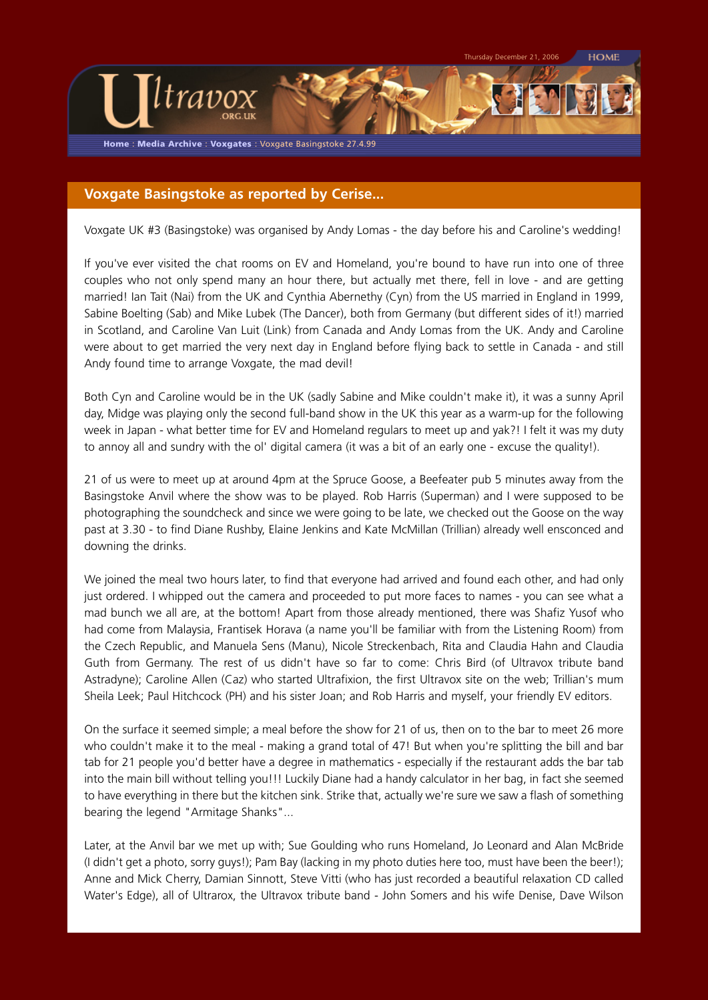**Home** : **Media Archive** : **Voxgates** : Voxgate Basingstoke 27.4.99

ltravox

## **Voxgate Basingstoke as reported by Cerise...**

Voxgate UK #3 (Basingstoke) was organised by Andy Lomas - the day before his and Caroline's wedding!

If you've ever visited the chat rooms on EV and Homeland, you're bound to have run into one of three couples who not only spend many an hour there, but actually met there, fell in love - and are getting married! Ian Tait (Nai) from the UK and Cynthia Abernethy (Cyn) from the US married in England in 1999, Sabine Boelting (Sab) and Mike Lubek (The Dancer), both from Germany (but different sides of it!) married in Scotland, and Caroline Van Luit (Link) from Canada and Andy Lomas from the UK. Andy and Caroline were about to get married the very next day in England before flying back to settle in Canada - and still Andy found time to arrange Voxgate, the mad devil!

Both Cyn and Caroline would be in the UK (sadly Sabine and Mike couldn't make it), it was a sunny April day, Midge was playing only the second full-band show in the UK this year as a warm-up for the following week in Japan - what better time for EV and Homeland regulars to meet up and yak?! I felt it was my duty to annoy all and sundry with the ol' digital camera (it was a bit of an early one - excuse the quality!).

21 of us were to meet up at around 4pm at the Spruce Goose, a Beefeater pub 5 minutes away from the Basingstoke Anvil where the show was to be played. Rob Harris (Superman) and I were supposed to be photographing the soundcheck and since we were going to be late, we checked out the Goose on the way past at 3.30 - to find Diane Rushby, Elaine Jenkins and Kate McMillan (Trillian) already well ensconced and downing the drinks.

We joined the meal two hours later, to find that everyone had arrived and found each other, and had only just ordered. I whipped out the camera and proceeded to put more faces to names - you can see what a mad bunch we all are, at the bottom! Apart from those already mentioned, there was Shafiz Yusof who had come from Malaysia, Frantisek Horava (a name you'll be familiar with from the Listening Room) from the Czech Republic, and Manuela Sens (Manu), Nicole Streckenbach, Rita and Claudia Hahn and Claudia Guth from Germany. The rest of us didn't have so far to come: Chris Bird (of Ultravox tribute band Astradyne); Caroline Allen (Caz) who started Ultrafixion, the first Ultravox site on the web; Trillian's mum Sheila Leek; Paul Hitchcock (PH) and his sister Joan; and Rob Harris and myself, your friendly EV editors.

On the surface it seemed simple; a meal before the show for 21 of us, then on to the bar to meet 26 more who couldn't make it to the meal - making a grand total of 47! But when you're splitting the bill and bar tab for 21 people you'd better have a degree in mathematics - especially if the restaurant adds the bar tab into the main bill without telling you!!! Luckily Diane had a handy calculator in her bag, in fact she seemed to have everything in there but the kitchen sink. Strike that, actually we're sure we saw a flash of something bearing the legend "Armitage Shanks"...

Later, at the Anvil bar we met up with; Sue Goulding who runs Homeland, Jo Leonard and Alan McBride (I didn't get a photo, sorry guys!); Pam Bay (lacking in my photo duties here too, must have been the beer!); Anne and Mick Cherry, Damian Sinnott, Steve Vitti (who has just recorded a beautiful relaxation CD called Water's Edge), all of Ultrarox, the Ultravox tribute band - John Somers and his wife Denise, Dave Wilson